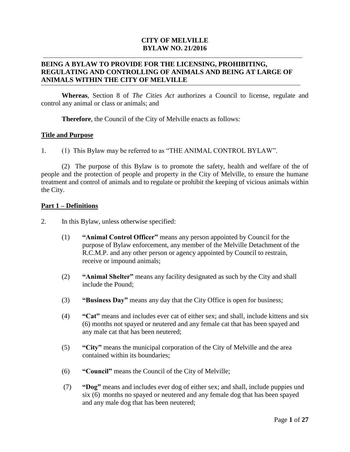## **CITY OF MELVILLE BYLAW NO. 21/2016**

## **BEING A BYLAW TO PROVIDE FOR THE LICENSING, PROHIBITING, REGULATING AND CONTROLLING OF ANIMALS AND BEING AT LARGE OF ANIMALS WITHIN THE CITY OF MELVILLE**

**Whereas**, Section 8 of *The Cities Act* authorizes a Council to license, regulate and control any animal or class or animals; and

**Therefore**, the Council of the City of Melville enacts as follows:

#### **Title and Purpose**

1. (1) This Bylaw may be referred to as "THE ANIMAL CONTROL BYLAW".

(2) The purpose of this Bylaw is to promote the safety, health and welfare of the of people and the protection of people and property in the City of Melville, to ensure the humane treatment and control of animals and to regulate or prohibit the keeping of vicious animals within the City.

## **Part 1 – Definitions**

- 2. In this Bylaw, unless otherwise specified:
	- (1) **"Animal Control Officer"** means any person appointed by Council for the purpose of Bylaw enforcement, any member of the Melville Detachment of the R.C.M.P. and any other person or agency appointed by Council to restrain, receive or impound animals;
	- (2) **"Animal Shelter"** means any facility designated as such by the City and shall include the Pound;
	- (3) **"Business Day"** means any day that the City Office is open for business;
	- (4) **"Cat"** means and includes ever cat of either sex; and shall, include kittens and six (6) months not spayed or neutered and any female cat that has been spayed and any male cat that has been neutered;
	- (5) **"City"** means the municipal corporation of the City of Melville and the area contained within its boundaries;
	- (6) **"Council"** means the Council of the City of Melville;
	- (7) **"Dog"** means and includes ever dog of either sex; and shall, include puppies und six (6) months no spayed or neutered and any female dog that has been spayed and any male dog that has been neutered;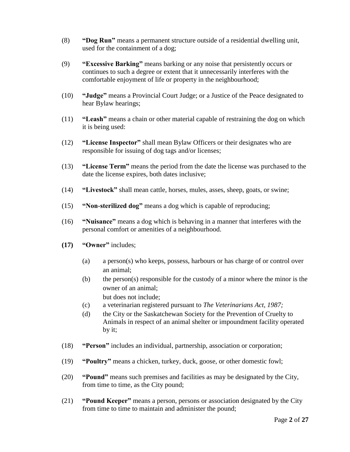- (8) **"Dog Run"** means a permanent structure outside of a residential dwelling unit, used for the containment of a dog;
- (9) **"Excessive Barking"** means barking or any noise that persistently occurs or continues to such a degree or extent that it unnecessarily interferes with the comfortable enjoyment of life or property in the neighbourhood;
- (10) **"Judge"** means a Provincial Court Judge; or a Justice of the Peace designated to hear Bylaw hearings;
- (11) **"Leash"** means a chain or other material capable of restraining the dog on which it is being used:
- (12) **"License Inspector"** shall mean Bylaw Officers or their designates who are responsible for issuing of dog tags and/or licenses;
- (13) **"License Term"** means the period from the date the license was purchased to the date the license expires, both dates inclusive;
- (14) **"Livestock"** shall mean cattle, horses, mules, asses, sheep, goats, or swine;
- (15) **"Non-sterilized dog"** means a dog which is capable of reproducing;
- (16) **"Nuisance"** means a dog which is behaving in a manner that interferes with the personal comfort or amenities of a neighbourhood.
- **(17) "Owner"** includes;
	- (a) a person(s) who keeps, possess, harbours or has charge of or control over an animal;
	- (b) the person(s) responsible for the custody of a minor where the minor is the owner of an animal; but does not include;
	- (c) a veterinarian registered pursuant to *The Veterinarians Act, 1987;*
	- (d) the City or the Saskatchewan Society for the Prevention of Cruelty to Animals in respect of an animal shelter or impoundment facility operated by it;
- (18) **"Person"** includes an individual, partnership, association or corporation;
- (19) **"Poultry"** means a chicken, turkey, duck, goose, or other domestic fowl;
- (20) **"Pound"** means such premises and facilities as may be designated by the City, from time to time, as the City pound;
- (21) **"Pound Keeper"** means a person, persons or association designated by the City from time to time to maintain and administer the pound;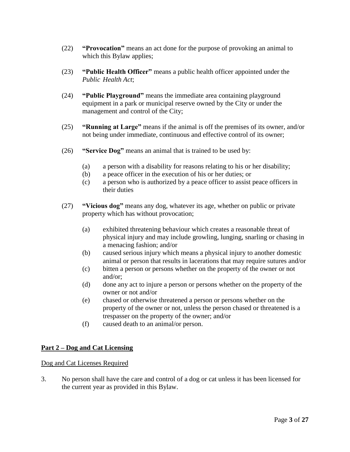- (22) **"Provocation"** means an act done for the purpose of provoking an animal to which this Bylaw applies;
- (23) **"Public Health Officer"** means a public health officer appointed under the *Public Health Act*;
- (24) **"Public Playground"** means the immediate area containing playground equipment in a park or municipal reserve owned by the City or under the management and control of the City;
- (25) **"Running at Large"** means if the animal is off the premises of its owner, and/or not being under immediate, continuous and effective control of its owner;
- (26) **"Service Dog"** means an animal that is trained to be used by:
	- (a) a person with a disability for reasons relating to his or her disability;
	- (b) a peace officer in the execution of his or her duties; or
	- (c) a person who is authorized by a peace officer to assist peace officers in their duties
- (27) **"Vicious dog"** means any dog, whatever its age, whether on public or private property which has without provocation;
	- (a) exhibited threatening behaviour which creates a reasonable threat of physical injury and may include growling, lunging, snarling or chasing in a menacing fashion; and/or
	- (b) caused serious injury which means a physical injury to another domestic animal or person that results in lacerations that may require sutures and/or
	- (c) bitten a person or persons whether on the property of the owner or not and/or;
	- (d) done any act to injure a person or persons whether on the property of the owner or not and/or
	- (e) chased or otherwise threatened a person or persons whether on the property of the owner or not, unless the person chased or threatened is a trespasser on the property of the owner; and/or
	- (f) caused death to an animal/or person.

## **Part 2 – Dog and Cat Licensing**

## Dog and Cat Licenses Required

3. No person shall have the care and control of a dog or cat unless it has been licensed for the current year as provided in this Bylaw.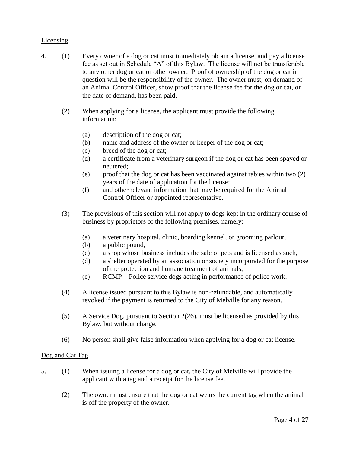## Licensing

- 4. (1) Every owner of a dog or cat must immediately obtain a license, and pay a license fee as set out in Schedule "A" of this Bylaw. The license will not be transferable to any other dog or cat or other owner. Proof of ownership of the dog or cat in question will be the responsibility of the owner. The owner must, on demand of an Animal Control Officer, show proof that the license fee for the dog or cat, on the date of demand, has been paid.
	- (2) When applying for a license, the applicant must provide the following information:
		- (a) description of the dog or cat;
		- (b) name and address of the owner or keeper of the dog or cat;
		- (c) breed of the dog or cat;
		- (d) a certificate from a veterinary surgeon if the dog or cat has been spayed or neutered;
		- (e) proof that the dog or cat has been vaccinated against rabies within two (2) years of the date of application for the license;
		- (f) and other relevant information that may be required for the Animal Control Officer or appointed representative.
	- (3) The provisions of this section will not apply to dogs kept in the ordinary course of business by proprietors of the following premises, namely;
		- (a) a veterinary hospital, clinic, boarding kennel, or grooming parlour,
		- (b) a public pound,
		- (c) a shop whose business includes the sale of pets and is licensed as such,
		- (d) a shelter operated by an association or society incorporated for the purpose of the protection and humane treatment of animals,
		- (e) RCMP Police service dogs acting in performance of police work.
	- (4) A license issued pursuant to this Bylaw is non-refundable, and automatically revoked if the payment is returned to the City of Melville for any reason.
	- (5) A Service Dog, pursuant to Section 2(26), must be licensed as provided by this Bylaw, but without charge.
	- (6) No person shall give false information when applying for a dog or cat license.

## Dog and Cat Tag

- 5. (1) When issuing a license for a dog or cat, the City of Melville will provide the applicant with a tag and a receipt for the license fee.
	- (2) The owner must ensure that the dog or cat wears the current tag when the animal is off the property of the owner.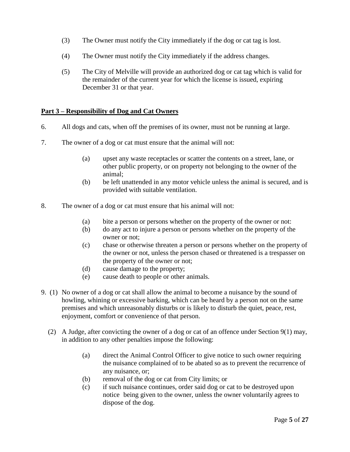- (3) The Owner must notify the City immediately if the dog or cat tag is lost.
- (4) The Owner must notify the City immediately if the address changes.
- (5) The City of Melville will provide an authorized dog or cat tag which is valid for the remainder of the current year for which the license is issued, expiring December 31 or that year.

## **Part 3 – Responsibility of Dog and Cat Owners**

- 6. All dogs and cats, when off the premises of its owner, must not be running at large.
- 7. The owner of a dog or cat must ensure that the animal will not:
	- (a) upset any waste receptacles or scatter the contents on a street, lane, or other public property, or on property not belonging to the owner of the animal;
	- (b) be left unattended in any motor vehicle unless the animal is secured, and is provided with suitable ventilation.
- 8. The owner of a dog or cat must ensure that his animal will not:
	- (a) bite a person or persons whether on the property of the owner or not:
	- (b) do any act to injure a person or persons whether on the property of the owner or not;
	- (c) chase or otherwise threaten a person or persons whether on the property of the owner or not, unless the person chased or threatened is a trespasser on the property of the owner or not;
	- (d) cause damage to the property;
	- (e) cause death to people or other animals.
- 9. (1) No owner of a dog or cat shall allow the animal to become a nuisance by the sound of howling, whining or excessive barking, which can be heard by a person not on the same premises and which unreasonably disturbs or is likely to disturb the quiet, peace, rest, enjoyment, comfort or convenience of that person.
	- (2) A Judge, after convicting the owner of a dog or cat of an offence under Section 9(1) may, in addition to any other penalties impose the following:
		- (a) direct the Animal Control Officer to give notice to such owner requiring the nuisance complained of to be abated so as to prevent the recurrence of any nuisance, or;
		- (b) removal of the dog or cat from City limits; or
		- (c) if such nuisance continues, order said dog or cat to be destroyed upon notice being given to the owner, unless the owner voluntarily agrees to dispose of the dog.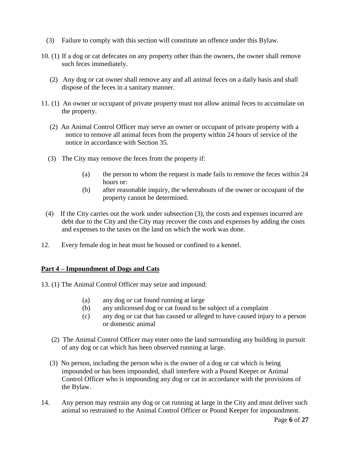- (3) Failure to comply with this section will constitute an offence under this Bylaw.
- 10. (1) If a dog or cat defecates on any property other than the owners, the owner shall remove such feces immediately.
	- (2) Any dog or cat owner shall remove any and all animal feces on a daily basis and shall dispose of the feces in a sanitary manner.
- 11. (1) An owner or occupant of private property must not allow animal feces to accumulate on the property.
	- (2) An Animal Control Officer may serve an owner or occupant of private property with a notice to remove all animal feces from the property within 24 hours of service of the notice in accordance with Section 35.
	- (3) The City may remove the feces from the property if:
		- (a) the person to whom the request is made fails to remove the feces within 24 hours or:
		- (b) after reasonable inquiry, the whereabouts of the owner or occupant of the property cannot be determined.
	- (4) If the City carries out the work under subsection (3), the costs and expenses incurred are debt due to the City and the City may recover the costs and expenses by adding the costs and expenses to the taxes on the land on which the work was done.
- 12. Every female dog in heat must be housed or confined to a kennel.

## **Part 4 – Impoundment of Dogs and Cats**

- 13. (1) The Animal Control Officer may seize and impound:
	- (a) any dog or cat found running at large
	- (b) any unlicensed dog or cat found to be subject of a complaint
	- (c) any dog or cat that has caused or alleged to have caused injury to a person or domestic animal
	- (2) The Animal Control Officer may enter onto the land surrounding any building in pursuit of any dog or cat which has been observed running at large.
	- (3) No person, including the person who is the owner of a dog or cat which is being impounded or has been impounded, shall interfere with a Pound Keeper or Animal Control Officer who is impounding any dog or cat in accordance with the provisions of the Bylaw.
- 14. Any person may restrain any dog or cat running at large in the City and must deliver such animal so restrained to the Animal Control Officer or Pound Keeper for impoundment.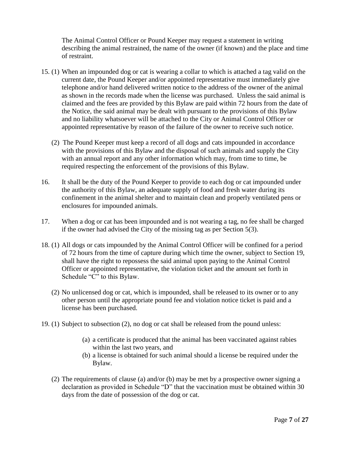The Animal Control Officer or Pound Keeper may request a statement in writing describing the animal restrained, the name of the owner (if known) and the place and time of restraint.

- 15. (1) When an impounded dog or cat is wearing a collar to which is attached a tag valid on the current date, the Pound Keeper and/or appointed representative must immediately give telephone and/or hand delivered written notice to the address of the owner of the animal as shown in the records made when the license was purchased. Unless the said animal is claimed and the fees are provided by this Bylaw are paid within 72 hours from the date of the Notice, the said animal may be dealt with pursuant to the provisions of this Bylaw and no liability whatsoever will be attached to the City or Animal Control Officer or appointed representative by reason of the failure of the owner to receive such notice.
	- (2) The Pound Keeper must keep a record of all dogs and cats impounded in accordance with the provisions of this Bylaw and the disposal of such animals and supply the City with an annual report and any other information which may, from time to time, be required respecting the enforcement of the provisions of this Bylaw.
- 16. It shall be the duty of the Pound Keeper to provide to each dog or cat impounded under the authority of this Bylaw, an adequate supply of food and fresh water during its confinement in the animal shelter and to maintain clean and properly ventilated pens or enclosures for impounded animals.
- 17. When a dog or cat has been impounded and is not wearing a tag, no fee shall be charged if the owner had advised the City of the missing tag as per Section 5(3).
- 18. (1) All dogs or cats impounded by the Animal Control Officer will be confined for a period of 72 hours from the time of capture during which time the owner, subject to Section 19, shall have the right to repossess the said animal upon paying to the Animal Control Officer or appointed representative, the violation ticket and the amount set forth in Schedule "C" to this Bylaw.
	- (2) No unlicensed dog or cat, which is impounded, shall be released to its owner or to any other person until the appropriate pound fee and violation notice ticket is paid and a license has been purchased.
- 19. (1) Subject to subsection (2), no dog or cat shall be released from the pound unless:
	- (a) a certificate is produced that the animal has been vaccinated against rabies within the last two years, and
	- (b) a license is obtained for such animal should a license be required under the Bylaw.
	- (2) The requirements of clause (a) and/or (b) may be met by a prospective owner signing a declaration as provided in Schedule "D" that the vaccination must be obtained within 30 days from the date of possession of the dog or cat.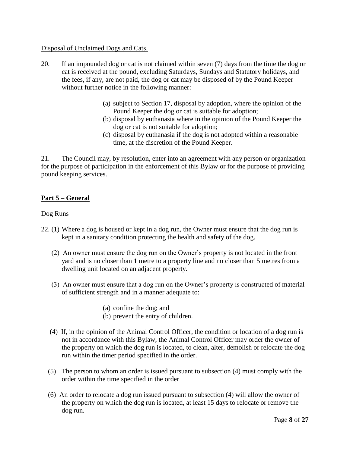## Disposal of Unclaimed Dogs and Cats.

- 20. If an impounded dog or cat is not claimed within seven (7) days from the time the dog or cat is received at the pound, excluding Saturdays, Sundays and Statutory holidays, and the fees, if any, are not paid, the dog or cat may be disposed of by the Pound Keeper without further notice in the following manner:
	- (a) subject to Section 17, disposal by adoption, where the opinion of the Pound Keeper the dog or cat is suitable for adoption;
	- (b) disposal by euthanasia where in the opinion of the Pound Keeper the dog or cat is not suitable for adoption;
	- (c) disposal by euthanasia if the dog is not adopted within a reasonable time, at the discretion of the Pound Keeper.

21. The Council may, by resolution, enter into an agreement with any person or organization for the purpose of participation in the enforcement of this Bylaw or for the purpose of providing pound keeping services.

## **Part 5 – General**

## Dog Runs

- 22. (1) Where a dog is housed or kept in a dog run, the Owner must ensure that the dog run is kept in a sanitary condition protecting the health and safety of the dog.
	- (2) An owner must ensure the dog run on the Owner's property is not located in the front yard and is no closer than 1 metre to a property line and no closer than 5 metres from a dwelling unit located on an adjacent property.
	- (3) An owner must ensure that a dog run on the Owner's property is constructed of material of sufficient strength and in a manner adequate to:
		- (a) confine the dog; and
		- (b) prevent the entry of children.
	- (4) If, in the opinion of the Animal Control Officer, the condition or location of a dog run is not in accordance with this Bylaw, the Animal Control Officer may order the owner of the property on which the dog run is located, to clean, alter, demolish or relocate the dog run within the timer period specified in the order.
	- (5) The person to whom an order is issued pursuant to subsection (4) must comply with the order within the time specified in the order
	- (6) An order to relocate a dog run issued pursuant to subsection (4) will allow the owner of the property on which the dog run is located, at least 15 days to relocate or remove the dog run.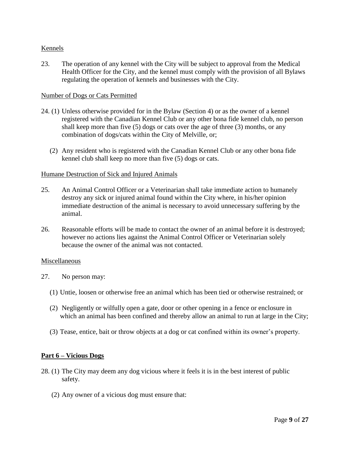## Kennels

23. The operation of any kennel with the City will be subject to approval from the Medical Health Officer for the City, and the kennel must comply with the provision of all Bylaws regulating the operation of kennels and businesses with the City.

#### Number of Dogs or Cats Permitted

- 24. (1) Unless otherwise provided for in the Bylaw (Section 4) or as the owner of a kennel registered with the Canadian Kennel Club or any other bona fide kennel club, no person shall keep more than five (5) dogs or cats over the age of three (3) months, or any combination of dogs/cats within the City of Melville, or;
	- (2) Any resident who is registered with the Canadian Kennel Club or any other bona fide kennel club shall keep no more than five (5) dogs or cats.

#### Humane Destruction of Sick and Injured Animals

- 25. An Animal Control Officer or a Veterinarian shall take immediate action to humanely destroy any sick or injured animal found within the City where, in his/her opinion immediate destruction of the animal is necessary to avoid unnecessary suffering by the animal.
- 26. Reasonable efforts will be made to contact the owner of an animal before it is destroyed; however no actions lies against the Animal Control Officer or Veterinarian solely because the owner of the animal was not contacted.

#### Miscellaneous

- 27. No person may:
	- (1) Untie, loosen or otherwise free an animal which has been tied or otherwise restrained; or
	- (2) Negligently or wilfully open a gate, door or other opening in a fence or enclosure in which an animal has been confined and thereby allow an animal to run at large in the City;
	- (3) Tease, entice, bait or throw objects at a dog or cat confined within its owner's property.

## **Part 6 – Vicious Dogs**

- 28. (1) The City may deem any dog vicious where it feels it is in the best interest of public safety.
	- (2) Any owner of a vicious dog must ensure that: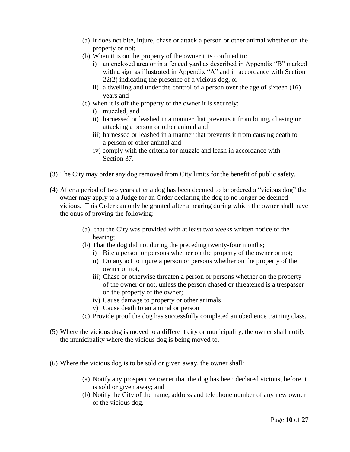- (a) It does not bite, injure, chase or attack a person or other animal whether on the property or not;
- (b) When it is on the property of the owner it is confined in:
	- i) an enclosed area or in a fenced yard as described in Appendix "B" marked with a sign as illustrated in Appendix "A" and in accordance with Section 22(2) indicating the presence of a vicious dog, or
	- ii) a dwelling and under the control of a person over the age of sixteen (16) years and
- (c) when it is off the property of the owner it is securely:
	- i) muzzled, and
	- ii) harnessed or leashed in a manner that prevents it from biting, chasing or attacking a person or other animal and
	- iii) harnessed or leashed in a manner that prevents it from causing death to a person or other animal and
	- iv) comply with the criteria for muzzle and leash in accordance with Section 37.
- (3) The City may order any dog removed from City limits for the benefit of public safety.
- (4) After a period of two years after a dog has been deemed to be ordered a "vicious dog" the owner may apply to a Judge for an Order declaring the dog to no longer be deemed vicious. This Order can only be granted after a hearing during which the owner shall have the onus of proving the following:
	- (a) that the City was provided with at least two weeks written notice of the hearing;
	- (b) That the dog did not during the preceding twenty-four months;
		- i) Bite a person or persons whether on the property of the owner or not;
		- ii) Do any act to injure a person or persons whether on the property of the owner or not;
		- iii) Chase or otherwise threaten a person or persons whether on the property of the owner or not, unless the person chased or threatened is a trespasser on the property of the owner;
		- iv) Cause damage to property or other animals
		- v) Cause death to an animal or person
	- (c) Provide proof the dog has successfully completed an obedience training class.
- (5) Where the vicious dog is moved to a different city or municipality, the owner shall notify the municipality where the vicious dog is being moved to.
- (6) Where the vicious dog is to be sold or given away, the owner shall:
	- (a) Notify any prospective owner that the dog has been declared vicious, before it is sold or given away; and
	- (b) Notify the City of the name, address and telephone number of any new owner of the vicious dog.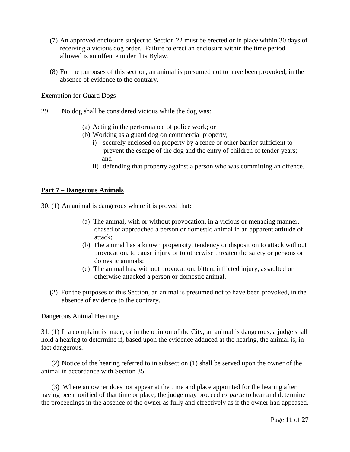- (7) An approved enclosure subject to Section 22 must be erected or in place within 30 days of receiving a vicious dog order. Failure to erect an enclosure within the time period allowed is an offence under this Bylaw.
- (8) For the purposes of this section, an animal is presumed not to have been provoked, in the absence of evidence to the contrary.

#### Exemption for Guard Dogs

- 29. No dog shall be considered vicious while the dog was:
	- (a) Acting in the performance of police work; or
	- (b) Working as a guard dog on commercial property;
		- i) securely enclosed on property by a fence or other barrier sufficient to prevent the escape of the dog and the entry of children of tender years; and
		- ii) defending that property against a person who was committing an offence.

## **Part 7 – Dangerous Animals**

30. (1) An animal is dangerous where it is proved that:

- (a) The animal, with or without provocation, in a vicious or menacing manner, chased or approached a person or domestic animal in an apparent attitude of attack;
- (b) The animal has a known propensity, tendency or disposition to attack without provocation, to cause injury or to otherwise threaten the safety or persons or domestic animals;
- (c) The animal has, without provocation, bitten, inflicted injury, assaulted or otherwise attacked a person or domestic animal.
- (2) For the purposes of this Section, an animal is presumed not to have been provoked, in the absence of evidence to the contrary.

#### Dangerous Animal Hearings

31. (1) If a complaint is made, or in the opinion of the City, an animal is dangerous, a judge shall hold a hearing to determine if, based upon the evidence adduced at the hearing, the animal is, in fact dangerous.

 (2) Notice of the hearing referred to in subsection (1) shall be served upon the owner of the animal in accordance with Section 35.

 (3) Where an owner does not appear at the time and place appointed for the hearing after having been notified of that time or place, the judge may proceed *ex parte* to hear and determine the proceedings in the absence of the owner as fully and effectively as if the owner had appeased.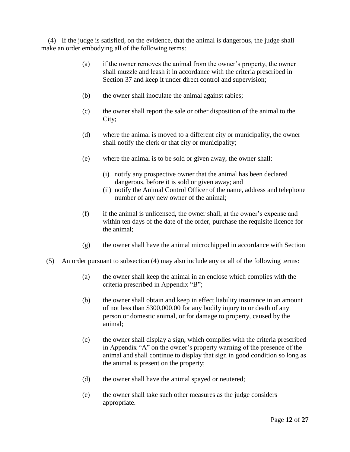(4) If the judge is satisfied, on the evidence, that the animal is dangerous, the judge shall make an order embodying all of the following terms:

- (a) if the owner removes the animal from the owner's property, the owner shall muzzle and leash it in accordance with the criteria prescribed in Section 37 and keep it under direct control and supervision;
- (b) the owner shall inoculate the animal against rabies;
- (c) the owner shall report the sale or other disposition of the animal to the City;
- (d) where the animal is moved to a different city or municipality, the owner shall notify the clerk or that city or municipality;
- (e) where the animal is to be sold or given away, the owner shall:
	- (i) notify any prospective owner that the animal has been declared dangerous, before it is sold or given away; and
	- (ii) notify the Animal Control Officer of the name, address and telephone number of any new owner of the animal;
- (f) if the animal is unlicensed, the owner shall, at the owner's expense and within ten days of the date of the order, purchase the requisite licence for the animal;
- $(g)$  the owner shall have the animal microchipped in accordance with Section
- (5) An order pursuant to subsection (4) may also include any or all of the following terms:
	- (a) the owner shall keep the animal in an enclose which complies with the criteria prescribed in Appendix "B";
	- (b) the owner shall obtain and keep in effect liability insurance in an amount of not less than \$300,000.00 for any bodily injury to or death of any person or domestic animal, or for damage to property, caused by the animal;
	- (c) the owner shall display a sign, which complies with the criteria prescribed in Appendix "A" on the owner's property warning of the presence of the animal and shall continue to display that sign in good condition so long as the animal is present on the property;
	- (d) the owner shall have the animal spayed or neutered;
	- (e) the owner shall take such other measures as the judge considers appropriate.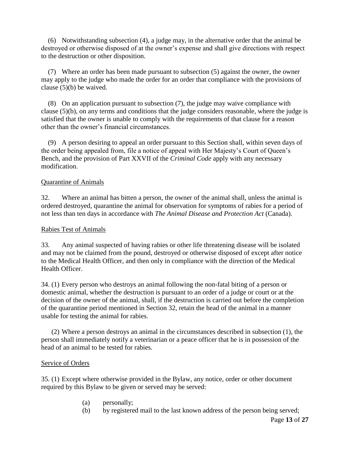(6) Notwithstanding subsection (4), a judge may, in the alternative order that the animal be destroyed or otherwise disposed of at the owner's expense and shall give directions with respect to the destruction or other disposition.

 (7) Where an order has been made pursuant to subsection (5) against the owner, the owner may apply to the judge who made the order for an order that compliance with the provisions of clause (5)(b) be waived.

 (8) On an application pursuant to subsection (7), the judge may waive compliance with clause (5)(b), on any terms and conditions that the judge considers reasonable, where the judge is satisfied that the owner is unable to comply with the requirements of that clause for a reason other than the owner's financial circumstances.

 (9) A person desiring to appeal an order pursuant to this Section shall, within seven days of the order being appealed from, file a notice of appeal with Her Majesty's Court of Queen's Bench, and the provision of Part XXVII of the *Criminal Code* apply with any necessary modification.

## Quarantine of Animals

32. Where an animal has bitten a person, the owner of the animal shall, unless the animal is ordered destroyed, quarantine the animal for observation for symptoms of rabies for a period of not less than ten days in accordance with *The Animal Disease and Protection Act* (Canada).

## Rabies Test of Animals

33. Any animal suspected of having rabies or other life threatening disease will be isolated and may not be claimed from the pound, destroyed or otherwise disposed of except after notice to the Medical Health Officer, and then only in compliance with the direction of the Medical Health Officer.

34. (1) Every person who destroys an animal following the non-fatal biting of a person or domestic animal, whether the destruction is pursuant to an order of a judge or court or at the decision of the owner of the animal, shall, if the destruction is carried out before the completion of the quarantine period mentioned in Section 32, retain the head of the animal in a manner usable for testing the animal for rabies.

 (2) Where a person destroys an animal in the circumstances described in subsection (1), the person shall immediately notify a veterinarian or a peace officer that he is in possession of the head of an animal to be tested for rabies.

## Service of Orders

35. (1) Except where otherwise provided in the Bylaw, any notice, order or other document required by this Bylaw to be given or served may be served:

- (a) personally;
- (b) by registered mail to the last known address of the person being served;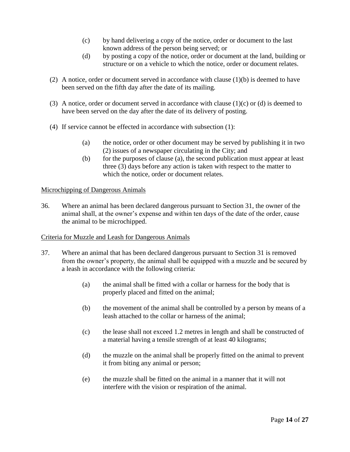- (c) by hand delivering a copy of the notice, order or document to the last known address of the person being served; or
- (d) by posting a copy of the notice, order or document at the land, building or structure or on a vehicle to which the notice, order or document relates.
- (2) A notice, order or document served in accordance with clause (1)(b) is deemed to have been served on the fifth day after the date of its mailing.
- (3) A notice, order or document served in accordance with clause  $(1)(c)$  or  $(d)$  is deemed to have been served on the day after the date of its delivery of posting.
- (4) If service cannot be effected in accordance with subsection (1):
	- (a) the notice, order or other document may be served by publishing it in two (2) issues of a newspaper circulating in the City; and
	- (b) for the purposes of clause (a), the second publication must appear at least three (3) days before any action is taken with respect to the matter to which the notice, order or document relates.

## Microchipping of Dangerous Animals

36. Where an animal has been declared dangerous pursuant to Section 31, the owner of the animal shall, at the owner's expense and within ten days of the date of the order, cause the animal to be microchipped.

## Criteria for Muzzle and Leash for Dangerous Animals

- 37. Where an animal that has been declared dangerous pursuant to Section 31 is removed from the owner's property, the animal shall be equipped with a muzzle and be secured by a leash in accordance with the following criteria:
	- (a) the animal shall be fitted with a collar or harness for the body that is properly placed and fitted on the animal;
	- (b) the movement of the animal shall be controlled by a person by means of a leash attached to the collar or harness of the animal;
	- (c) the lease shall not exceed 1.2 metres in length and shall be constructed of a material having a tensile strength of at least 40 kilograms;
	- (d) the muzzle on the animal shall be properly fitted on the animal to prevent it from biting any animal or person;
	- (e) the muzzle shall be fitted on the animal in a manner that it will not interfere with the vision or respiration of the animal.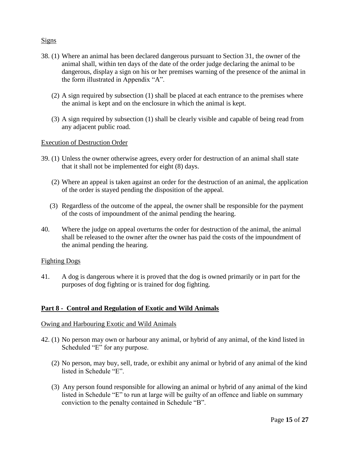## Signs

- 38. (1) Where an animal has been declared dangerous pursuant to Section 31, the owner of the animal shall, within ten days of the date of the order judge declaring the animal to be dangerous, display a sign on his or her premises warning of the presence of the animal in the form illustrated in Appendix "A".
	- (2) A sign required by subsection (1) shall be placed at each entrance to the premises where the animal is kept and on the enclosure in which the animal is kept.
	- (3) A sign required by subsection (1) shall be clearly visible and capable of being read from any adjacent public road.

## Execution of Destruction Order

- 39. (1) Unless the owner otherwise agrees, every order for destruction of an animal shall state that it shall not be implemented for eight (8) days.
	- (2) Where an appeal is taken against an order for the destruction of an animal, the application of the order is stayed pending the disposition of the appeal.
	- (3) Regardless of the outcome of the appeal, the owner shall be responsible for the payment of the costs of impoundment of the animal pending the hearing.
- 40. Where the judge on appeal overturns the order for destruction of the animal, the animal shall be released to the owner after the owner has paid the costs of the impoundment of the animal pending the hearing.

## Fighting Dogs

41. A dog is dangerous where it is proved that the dog is owned primarily or in part for the purposes of dog fighting or is trained for dog fighting.

## **Part 8 - Control and Regulation of Exotic and Wild Animals**

#### Owing and Harbouring Exotic and Wild Animals

- 42. (1) No person may own or harbour any animal, or hybrid of any animal, of the kind listed in Scheduled "E" for any purpose.
	- (2) No person, may buy, sell, trade, or exhibit any animal or hybrid of any animal of the kind listed in Schedule "E".
	- (3) Any person found responsible for allowing an animal or hybrid of any animal of the kind listed in Schedule "E" to run at large will be guilty of an offence and liable on summary conviction to the penalty contained in Schedule "B".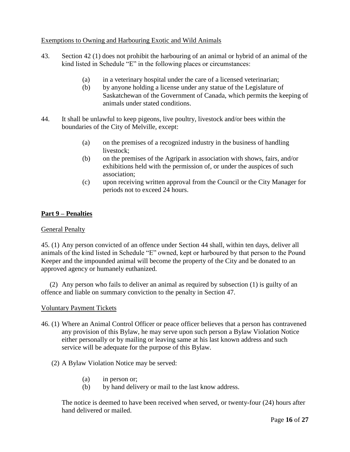## Exemptions to Owning and Harbouring Exotic and Wild Animals

- 43. Section 42 (1) does not prohibit the harbouring of an animal or hybrid of an animal of the kind listed in Schedule "E" in the following places or circumstances:
	- (a) in a veterinary hospital under the care of a licensed veterinarian;
	- (b) by anyone holding a license under any statue of the Legislature of Saskatchewan of the Government of Canada, which permits the keeping of animals under stated conditions.
- 44. It shall be unlawful to keep pigeons, live poultry, livestock and/or bees within the boundaries of the City of Melville, except:
	- (a) on the premises of a recognized industry in the business of handling livestock;
	- (b) on the premises of the Agripark in association with shows, fairs, and/or exhibitions held with the permission of, or under the auspices of such association;
	- (c) upon receiving written approval from the Council or the City Manager for periods not to exceed 24 hours.

## **Part 9 – Penalties**

## General Penalty

45. (1) Any person convicted of an offence under Section 44 shall, within ten days, deliver all animals of the kind listed in Schedule "E" owned, kept or harboured by that person to the Pound Keeper and the impounded animal will become the property of the City and be donated to an approved agency or humanely euthanized.

 (2) Any person who fails to deliver an animal as required by subsection (1) is guilty of an offence and liable on summary conviction to the penalty in Section 47.

## Voluntary Payment Tickets

- 46. (1) Where an Animal Control Officer or peace officer believes that a person has contravened any provision of this Bylaw, he may serve upon such person a Bylaw Violation Notice either personally or by mailing or leaving same at his last known address and such service will be adequate for the purpose of this Bylaw.
	- (2) A Bylaw Violation Notice may be served:
		- (a) in person or;
		- (b) by hand delivery or mail to the last know address.

The notice is deemed to have been received when served, or twenty-four (24) hours after hand delivered or mailed.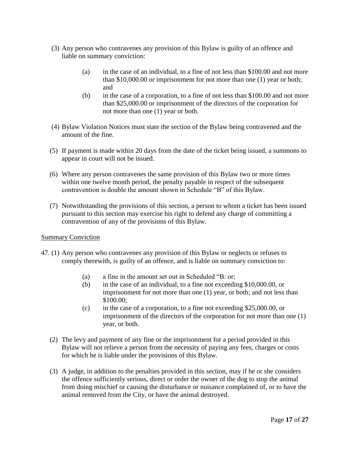- (3) Any person who contravenes any provision of this Bylaw is guilty of an offence and liable on summary conviction:
	- (a) in the case of an individual, to a fine of not less than \$100.00 and not more than \$10,000.00 or imprisonment for not more than one (1) year or both; and
	- (b) in the case of a corporation, to a fine of not less than \$100.00 and not more than \$25,000.00 or imprisonment of the directors of the corporation for not more than one (1) year or both.
- (4) Bylaw Violation Notices must state the section of the Bylaw being contravened and the amount of the fine.
- (5) If payment is made within 20 days from the date of the ticket being issued, a summons to appear in court will not be issued.
- (6) Where any person contravenes the same provision of this Bylaw two or more times within one twelve month period, the penalty payable in respect of the subsequent contravention is double the amount shown in Schedule "B" of this Bylaw.
- (7) Notwithstanding the provisions of this section, a person to whom a ticket has been issued pursuant to this section may exercise his right to defend any charge of committing a contravention of any of the provisions of this Bylaw.

## Summary Conviction

- 47. (1) Any person who contravenes any provision of this Bylaw or neglects or refuses to comply therewith, is guilty of an offence, and is liable on summary conviction to:
	- (a) a fine in the amount set out in Scheduled "B: or;
	- (b) in the case of an individual, to a fine not exceeding \$10,000.00, or imprisonment for not more than one (1) year, or both; and not less than \$100.00;
	- (c) in the case of a corporation, to a fine not exceeding \$25,000.00, or imprisonment of the directors of the corporation for not more than one (1) year, or both.
	- (2) The levy and payment of any fine or the imprisonment for a period provided in this Bylaw will not relieve a person from the necessity of paying any fees, charges or costs for which he is liable under the provisions of this Bylaw.
	- (3) A judge, in addition to the penalties provided in this section, may if he or she considers the offence sufficiently serious, direct or order the owner of the dog to stop the animal from doing mischief or causing the disturbance or nuisance complained of, or to have the animal removed from the City, or have the animal destroyed.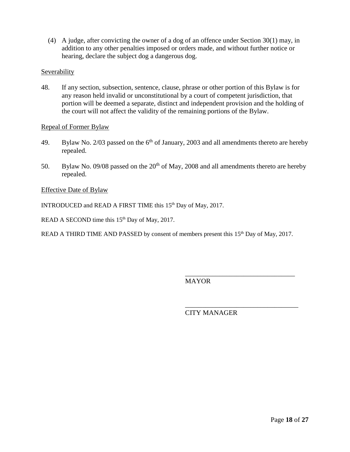(4) A judge, after convicting the owner of a dog of an offence under Section 30(1) may, in addition to any other penalties imposed or orders made, and without further notice or hearing, declare the subject dog a dangerous dog.

## **Severability**

48. If any section, subsection, sentence, clause, phrase or other portion of this Bylaw is for any reason held invalid or unconstitutional by a court of competent jurisdiction, that portion will be deemed a separate, distinct and independent provision and the holding of the court will not affect the validity of the remaining portions of the Bylaw.

#### Repeal of Former Bylaw

- 49. Bylaw No. 2/03 passed on the  $6<sup>th</sup>$  of January, 2003 and all amendments thereto are hereby repealed.
- 50. Bylaw No. 09/08 passed on the  $20<sup>th</sup>$  of May, 2008 and all amendments thereto are hereby repealed.

#### Effective Date of Bylaw

INTRODUCED and READ A FIRST TIME this 15<sup>th</sup> Day of May, 2017.

READ A SECOND time this  $15<sup>th</sup>$  Day of May, 2017.

READ A THIRD TIME AND PASSED by consent of members present this 15<sup>th</sup> Day of May, 2017.

**MAYOR** 

CITY MANAGER

\_\_\_\_\_\_\_\_\_\_\_\_\_\_\_\_\_\_\_\_\_\_\_\_\_\_\_\_\_\_\_\_

\_\_\_\_\_\_\_\_\_\_\_\_\_\_\_\_\_\_\_\_\_\_\_\_\_\_\_\_\_\_\_\_\_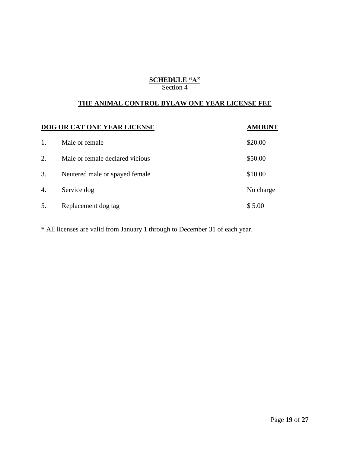## **SCHEDULE "A"** Section 4

## **THE ANIMAL CONTROL BYLAW ONE YEAR LICENSE FEE**

| <b>DOG OR CAT ONE YEAR LICENSE</b> |                                 | <b>AMOUNT</b> |
|------------------------------------|---------------------------------|---------------|
| 1.                                 | Male or female                  | \$20.00       |
| 2.                                 | Male or female declared vicious | \$50.00       |
| 3.                                 | Neutered male or spayed female  | \$10.00       |
| 4.                                 | Service dog                     | No charge     |
| 5.                                 | Replacement dog tag             | \$5.00        |

\* All licenses are valid from January 1 through to December 31 of each year.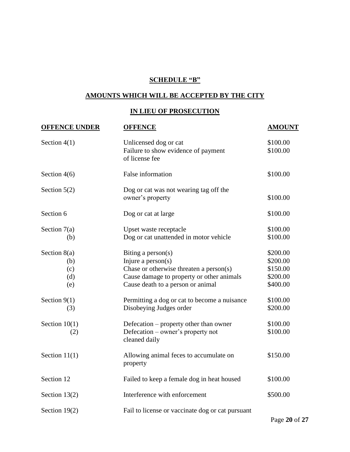# **SCHEDULE "B"**

## **AMOUNTS WHICH WILL BE ACCEPTED BY THE CITY**

## **IN LIEU OF PROSECUTION**

| <b>OFFENCE UNDER</b>                       | <b>OFFENCE</b>                                                                                                                                                             | <b>AMOUNT</b>                                            |
|--------------------------------------------|----------------------------------------------------------------------------------------------------------------------------------------------------------------------------|----------------------------------------------------------|
| Section $4(1)$                             | Unlicensed dog or cat<br>Failure to show evidence of payment<br>of license fee                                                                                             | \$100.00<br>\$100.00                                     |
| Section $4(6)$                             | False information                                                                                                                                                          | \$100.00                                                 |
| Section $5(2)$                             | Dog or cat was not wearing tag off the<br>owner's property                                                                                                                 | \$100.00                                                 |
| Section 6                                  | Dog or cat at large                                                                                                                                                        | \$100.00                                                 |
| Section $7(a)$<br>(b)                      | Upset waste receptacle<br>Dog or cat unattended in motor vehicle                                                                                                           | \$100.00<br>\$100.00                                     |
| Section $8(a)$<br>(b)<br>(c)<br>(d)<br>(e) | Biting a person(s)<br>Injure a $person(s)$<br>Chase or otherwise threaten a person $(s)$<br>Cause damage to property or other animals<br>Cause death to a person or animal | \$200.00<br>\$200.00<br>\$150.00<br>\$200.00<br>\$400.00 |
| Section $9(1)$<br>(3)                      | Permitting a dog or cat to become a nuisance<br>Disobeying Judges order                                                                                                    | \$100.00<br>\$200.00                                     |
| Section $10(1)$<br>(2)                     | Defecation – property other than owner<br>Defecation – owner's property not<br>cleaned daily                                                                               | \$100.00<br>\$100.00                                     |
| Section $11(1)$                            | Allowing animal feces to accumulate on<br>property                                                                                                                         | \$150.00                                                 |
| Section 12                                 | Failed to keep a female dog in heat housed                                                                                                                                 | \$100.00                                                 |
| Section $13(2)$                            | Interference with enforcement                                                                                                                                              | \$500.00                                                 |
| Section $19(2)$                            | Fail to license or vaccinate dog or cat pursuant                                                                                                                           |                                                          |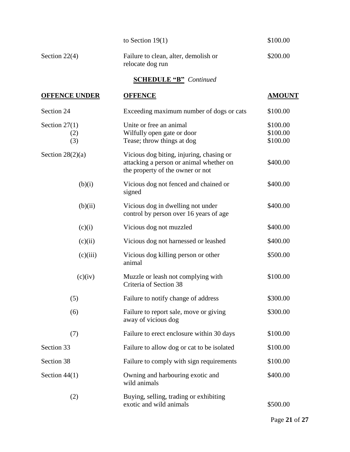|                               | to Section $19(1)$                                                                                                      | \$100.00                         |  |  |  |
|-------------------------------|-------------------------------------------------------------------------------------------------------------------------|----------------------------------|--|--|--|
| Section $22(4)$               | Failure to clean, alter, demolish or<br>relocate dog run                                                                | \$200.00                         |  |  |  |
| <b>SCHEDULE "B"</b> Continued |                                                                                                                         |                                  |  |  |  |
| <b>OFFENCE UNDER</b>          | <b>OFFENCE</b>                                                                                                          | <b>AMOUNT</b>                    |  |  |  |
| Section 24                    | Exceeding maximum number of dogs or cats                                                                                | \$100.00                         |  |  |  |
| Section $27(1)$<br>(2)<br>(3) | Unite or free an animal<br>Wilfully open gate or door<br>Tease; throw things at dog                                     | \$100.00<br>\$100.00<br>\$100.00 |  |  |  |
| Section $28(2)(a)$            | Vicious dog biting, injuring, chasing or<br>attacking a person or animal whether on<br>the property of the owner or not | \$400.00                         |  |  |  |
| (b)(i)                        | Vicious dog not fenced and chained or<br>signed                                                                         | \$400.00                         |  |  |  |
| (b)(ii)                       | Vicious dog in dwelling not under<br>control by person over 16 years of age                                             | \$400.00                         |  |  |  |
| (c)(i)                        | Vicious dog not muzzled                                                                                                 | \$400.00                         |  |  |  |
| (c)(ii)                       | Vicious dog not harnessed or leashed                                                                                    | \$400.00                         |  |  |  |
| (c)(iii)                      | Vicious dog killing person or other<br>animal                                                                           | \$500.00                         |  |  |  |
| (c)(iv)                       | Muzzle or leash not complying with<br>Criteria of Section 38                                                            | \$100.00                         |  |  |  |
| (5)                           | Failure to notify change of address                                                                                     | \$300.00                         |  |  |  |
| (6)                           | Failure to report sale, move or giving<br>away of vicious dog                                                           | \$300.00                         |  |  |  |
| (7)                           | Failure to erect enclosure within 30 days                                                                               | \$100.00                         |  |  |  |
| Section 33                    | Failure to allow dog or cat to be isolated                                                                              | \$100.00                         |  |  |  |
| Section 38                    | Failure to comply with sign requirements                                                                                | \$100.00                         |  |  |  |
| Section $44(1)$               | Owning and harbouring exotic and<br>wild animals                                                                        | \$400.00                         |  |  |  |
| (2)                           | Buying, selling, trading or exhibiting<br>exotic and wild animals                                                       | \$500.00                         |  |  |  |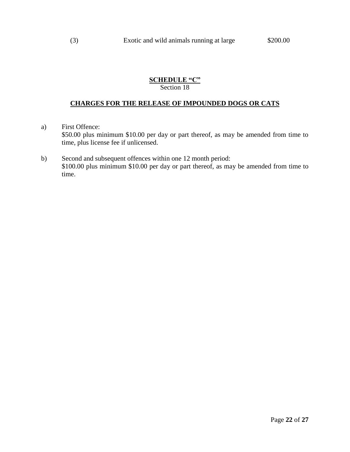## **SCHEDULE "C"** Section 18

## **CHARGES FOR THE RELEASE OF IMPOUNDED DOGS OR CATS**

- a) First Offence: \$50.00 plus minimum \$10.00 per day or part thereof, as may be amended from time to time, plus license fee if unlicensed.
- b) Second and subsequent offences within one 12 month period: \$100.00 plus minimum \$10.00 per day or part thereof, as may be amended from time to time.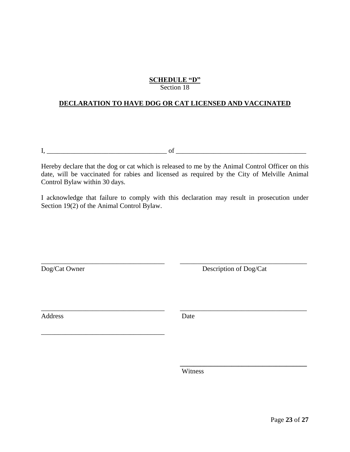## **SCHEDULE "D"** Section 18

## **DECLARATION TO HAVE DOG OR CAT LICENSED AND VACCINATED**

 $I, \_\_$ 

\_\_\_\_\_\_\_\_\_\_\_\_\_\_\_\_\_\_\_\_\_\_\_\_\_\_\_\_\_\_\_\_\_\_\_\_

Hereby declare that the dog or cat which is released to me by the Animal Control Officer on this date, will be vaccinated for rabies and licensed as required by the City of Melville Animal Control Bylaw within 30 days.

I acknowledge that failure to comply with this declaration may result in prosecution under Section 19(2) of the Animal Control Bylaw.

\_\_\_\_\_\_\_\_\_\_\_\_\_\_\_\_\_\_\_\_\_\_\_\_\_\_\_\_\_\_\_\_\_\_\_\_ \_\_\_\_\_\_\_\_\_\_\_\_\_\_\_\_\_\_\_\_\_\_\_\_\_\_\_\_\_\_\_\_\_\_\_\_\_ Dog/Cat Owner Description of Dog/Cat

 **\_\_\_\_\_\_\_\_\_\_\_\_\_\_\_\_\_\_\_\_\_\_\_\_\_\_\_\_\_\_\_\_\_\_\_\_\_**

Address Date

\_\_\_\_\_\_\_\_\_\_\_\_\_\_\_\_\_\_\_\_\_\_\_\_\_\_\_\_\_\_\_\_\_\_\_\_ \_\_\_\_\_\_\_\_\_\_\_\_\_\_\_\_\_\_\_\_\_\_\_\_\_\_\_\_\_\_\_\_\_\_\_\_\_

Witness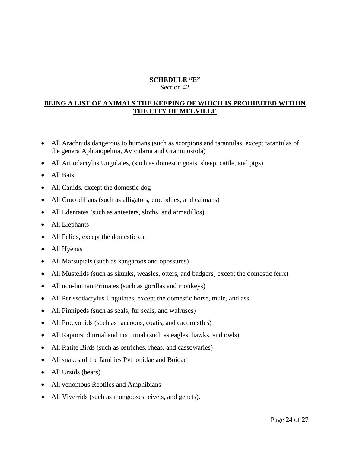#### **SCHEDULE "E"** Section 42

## **BEING A LIST OF ANIMALS THE KEEPING OF WHICH IS PROHIBITED WITHIN THE CITY OF MELVILLE**

- All Arachnids dangerous to humans (such as scorpions and tarantulas, except tarantulas of the genera Aphonopelma, Avicularia and Grammostola)
- All Artiodactylus Ungulates, (such as domestic goats, sheep, cattle, and pigs)
- All Bats
- All Canids, except the domestic dog
- All Crocodilians (such as alligators, crocodiles, and caimans)
- All Edentates (such as anteaters, sloths, and armadillos)
- All Elephants
- All Felids, except the domestic cat
- All Hyenas
- All Marsupials (such as kangaroos and opossums)
- All Mustelids (such as skunks, weasles, otters, and badgers) except the domestic ferret
- All non-human Primates (such as gorillas and monkeys)
- All Perissodactylus Ungulates, except the domestic horse, mule, and ass
- All Pinnipeds (such as seals, fur seals, and walruses)
- All Procyonids (such as raccoons, coatis, and cacomistles)
- All Raptors, diurnal and nocturnal (such as eagles, hawks, and owls)
- All Ratite Birds (such as ostriches, rheas, and cassowaries)
- All snakes of the families Pythonidae and Boidae
- All Ursids (bears)
- All venomous Reptiles and Amphibians
- All Viverrids (such as mongooses, civets, and genets).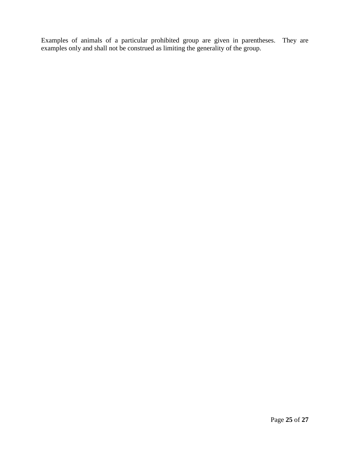Examples of animals of a particular prohibited group are given in parentheses. They are examples only and shall not be construed as limiting the generality of the group.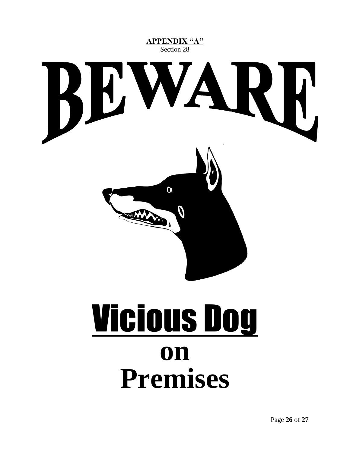